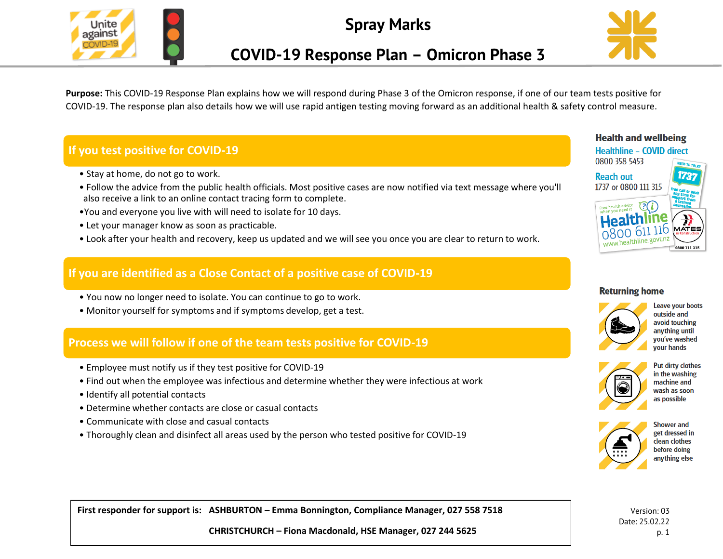

**Spray Marks**



# **COVID-19 Response Plan – Omicron Phase 3**

**Purpose:** This COVID-19 Response Plan explains how we will respond during Phase 3 of the Omicron response, if one of our team tests positive for COVID-19. The response plan also details how we will use rapid antigen testing moving forward as an additional health & safety control measure.

# **If you test positive for COVID-19**

- Stay at home, do not go to work.
- Follow the advice from the public health officials. Most positive cases are now notified via text message where you'll also receive a link to an online contact tracing form to complete.
- •You and everyone you live with will need to isolate for 10 days.
- Let your manager know as soon as practicable.
- Look after your health and recovery, keep us updated and we will see you once you are clear to return to work.

### **If you are identified as a Close Contact of a positive case of COVID-19**

- You now no longer need to isolate. You can continue to go to work.
- Monitor yourself for symptoms and if symptoms develop, get a test.

### **Process we will follow if one of the team tests positive for COVID-19**

- Employee must notify us if they test positive for COVID-19
- Find out when the employee was infectious and determine whether they were infectious at work
- Identify all potential contacts
- Determine whether contacts are close or casual contacts
- Communicate with close and casual contacts
- Thoroughly clean and disinfect all areas used by the person who tested positive for COVID-19

# **Health and wellbeing**



#### **Returning home**



Leave your boots outside and avoid touching anything until vou've washed your hands



Put dirty clothes in the washing machine and wash as soon as possible



**Shower and** get dressed in clean clothes before doing anything else

Version: 03 Date: 25.02.22 p. 1

**First responder for support is: ASHBURTON – Emma Bonnington, Compliance Manager, 027 558 7518**

**CHRISTCHURCH – Fiona Macdonald, HSE Manager, 027 244 5625**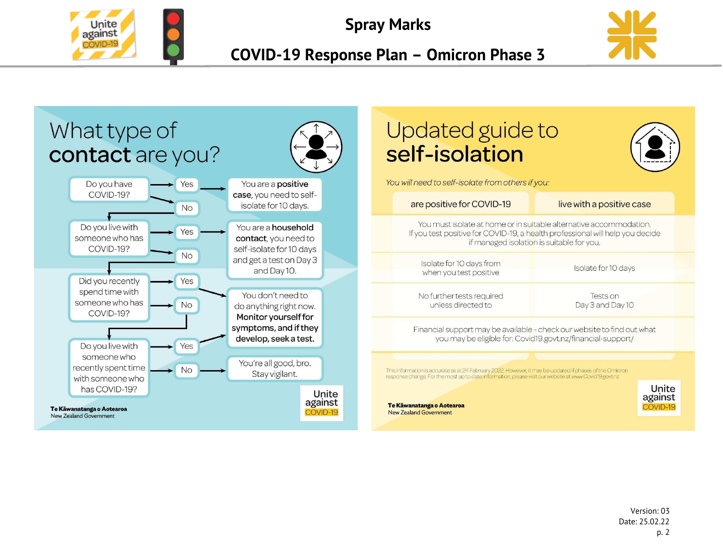

**Spray Marks**



**COVID-19 Response Plan – Omicron Phase 3**